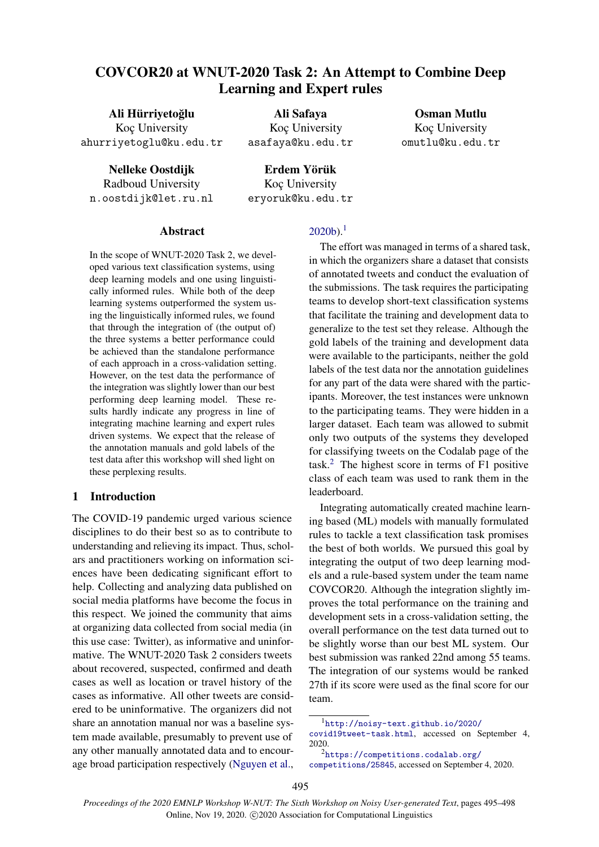# COVCOR20 at WNUT-2020 Task 2: An Attempt to Combine Deep Learning and Expert rules

Ali Hürriyetoğlu Koc University ahurriyetoglu@ku.edu.tr

Nelleke Oostdijk Radboud University n.oostdijk@let.ru.nl

Ali Safaya Koc University asafaya@ku.edu.tr

Erdem Yörük Koc University eryoruk@ku.edu.tr

Osman Mutlu Koc University omutlu@ku.edu.tr

Abstract

In the scope of WNUT-2020 Task 2, we developed various text classification systems, using deep learning models and one using linguistically informed rules. While both of the deep learning systems outperformed the system using the linguistically informed rules, we found that through the integration of (the output of) the three systems a better performance could be achieved than the standalone performance of each approach in a cross-validation setting. However, on the test data the performance of the integration was slightly lower than our best performing deep learning model. These results hardly indicate any progress in line of integrating machine learning and expert rules driven systems. We expect that the release of the annotation manuals and gold labels of the test data after this workshop will shed light on these perplexing results.

## 1 Introduction

The COVID-19 pandemic urged various science disciplines to do their best so as to contribute to understanding and relieving its impact. Thus, scholars and practitioners working on information sciences have been dedicating significant effort to help. Collecting and analyzing data published on social media platforms have become the focus in this respect. We joined the community that aims at organizing data collected from social media (in this use case: Twitter), as informative and uninformative. The WNUT-2020 Task 2 considers tweets about recovered, suspected, confirmed and death cases as well as location or travel history of the cases as informative. All other tweets are considered to be uninformative. The organizers did not share an annotation manual nor was a baseline system made available, presumably to prevent use of any other manually annotated data and to encourage broad participation respectively [\(Nguyen et al.,](#page-3-0)

# $2020<sub>b</sub>$ <sup>[1](#page-0-0)</sup>

The effort was managed in terms of a shared task, in which the organizers share a dataset that consists of annotated tweets and conduct the evaluation of the submissions. The task requires the participating teams to develop short-text classification systems that facilitate the training and development data to generalize to the test set they release. Although the gold labels of the training and development data were available to the participants, neither the gold labels of the test data nor the annotation guidelines for any part of the data were shared with the participants. Moreover, the test instances were unknown to the participating teams. They were hidden in a larger dataset. Each team was allowed to submit only two outputs of the systems they developed for classifying tweets on the Codalab page of the task.[2](#page-0-1) The highest score in terms of F1 positive class of each team was used to rank them in the leaderboard.

Integrating automatically created machine learning based (ML) models with manually formulated rules to tackle a text classification task promises the best of both worlds. We pursued this goal by integrating the output of two deep learning models and a rule-based system under the team name COVCOR20. Although the integration slightly improves the total performance on the training and development sets in a cross-validation setting, the overall performance on the test data turned out to be slightly worse than our best ML system. Our best submission was ranked 22nd among 55 teams. The integration of our systems would be ranked 27th if its score were used as the final score for our team.

<span id="page-0-0"></span><sup>1</sup>[http://noisy-text.github.io/2020/](http://noisy-text.github.io/2020/covid19tweet-task.html)

[covid19tweet-task.html](http://noisy-text.github.io/2020/covid19tweet-task.html), accessed on September 4, 2020.

<span id="page-0-1"></span><sup>2</sup>[https://competitions.codalab.org/](https://competitions.codalab.org/competitions/25845)

[competitions/25845](https://competitions.codalab.org/competitions/25845), accessed on September 4, 2020.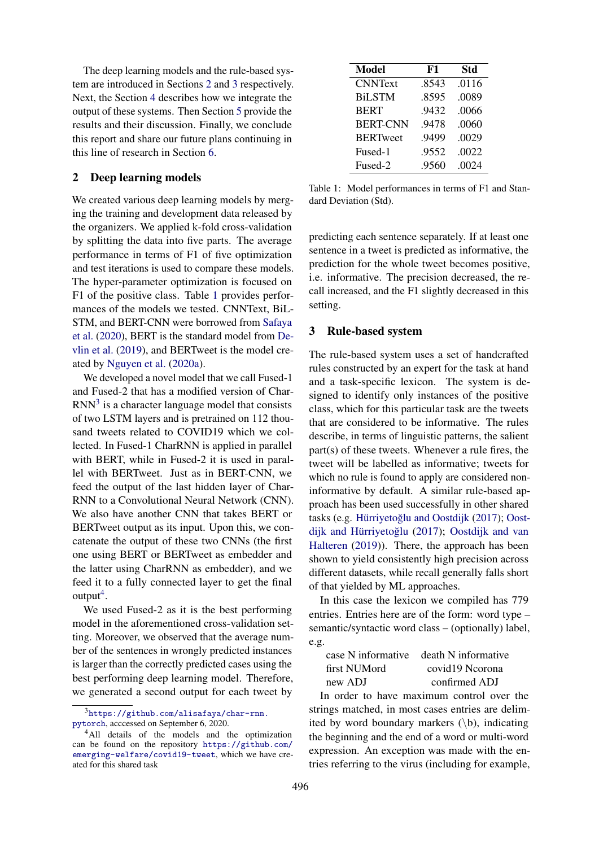The deep learning models and the rule-based system are introduced in Sections [2](#page-1-0) and [3](#page-1-1) respectively. Next, the Section [4](#page-2-0) describes how we integrate the output of these systems. Then Section [5](#page-2-1) provide the results and their discussion. Finally, we conclude this report and share our future plans continuing in this line of research in Section [6.](#page-2-2)

## <span id="page-1-0"></span>2 Deep learning models

We created various deep learning models by merging the training and development data released by the organizers. We applied k-fold cross-validation by splitting the data into five parts. The average performance in terms of F1 of five optimization and test iterations is used to compare these models. The hyper-parameter optimization is focused on F1 of the positive class. Table [1](#page-1-2) provides performances of the models we tested. CNNText, BiL-STM, and BERT-CNN were borrowed from [Safaya](#page-3-1) [et al.](#page-3-1) [\(2020\)](#page-3-1), BERT is the standard model from [De](#page-2-3)[vlin et al.](#page-2-3) [\(2019\)](#page-2-3), and BERTweet is the model created by [Nguyen et al.](#page-3-2) [\(2020a\)](#page-3-2).

We developed a novel model that we call Fused-1 and Fused-2 that has a modified version of Char- $RNN<sup>3</sup>$  $RNN<sup>3</sup>$  $RNN<sup>3</sup>$  is a character language model that consists of two LSTM layers and is pretrained on 112 thousand tweets related to COVID19 which we collected. In Fused-1 CharRNN is applied in parallel with BERT, while in Fused-2 it is used in parallel with BERTweet. Just as in BERT-CNN, we feed the output of the last hidden layer of Char-RNN to a Convolutional Neural Network (CNN). We also have another CNN that takes BERT or BERTweet output as its input. Upon this, we concatenate the output of these two CNNs (the first one using BERT or BERTweet as embedder and the latter using CharRNN as embedder), and we feed it to a fully connected layer to get the final output<sup>[4](#page-1-4)</sup>.

We used Fused-2 as it is the best performing model in the aforementioned cross-validation setting. Moreover, we observed that the average number of the sentences in wrongly predicted instances is larger than the correctly predicted cases using the best performing deep learning model. Therefore, we generated a second output for each tweet by

<span id="page-1-2"></span>

| <b>Model</b>    | F1    | <b>Std</b> |
|-----------------|-------|------------|
| <b>CNNText</b>  | .8543 | .0116      |
| <b>BiLSTM</b>   | .8595 | .0089      |
| <b>BERT</b>     | .9432 | .0066      |
| <b>BERT-CNN</b> | .9478 | .0060      |
| <b>BERTweet</b> | .9499 | .0029      |
| Fused-1         | .9552 | .0022      |
| Fused-2         | .9560 | .0024      |

Table 1: Model performances in terms of F1 and Standard Deviation (Std).

predicting each sentence separately. If at least one sentence in a tweet is predicted as informative, the prediction for the whole tweet becomes positive, i.e. informative. The precision decreased, the recall increased, and the F1 slightly decreased in this setting.

# <span id="page-1-1"></span>3 Rule-based system

The rule-based system uses a set of handcrafted rules constructed by an expert for the task at hand and a task-specific lexicon. The system is designed to identify only instances of the positive class, which for this particular task are the tweets that are considered to be informative. The rules describe, in terms of linguistic patterns, the salient part(s) of these tweets. Whenever a rule fires, the tweet will be labelled as informative; tweets for which no rule is found to apply are considered noninformative by default. A similar rule-based approach has been used successfully in other shared tasks (e.g. Hürriyetoğlu and Oostdijk [\(2017\)](#page-3-3); [Oost-](#page-3-4)dijk and Hürriyetoğlu [\(2017\)](#page-3-4); [Oostdijk and van](#page-3-5) [Halteren](#page-3-5) [\(2019\)](#page-3-5)). There, the approach has been shown to yield consistently high precision across different datasets, while recall generally falls short of that yielded by ML approaches.

In this case the lexicon we compiled has 779 entries. Entries here are of the form: word type – semantic/syntactic word class – (optionally) label, e.g.

|              | case N informative death N informative |
|--------------|----------------------------------------|
| first NUMord | covid19 Neorona                        |
| new ADJ      | confirmed ADJ                          |

In order to have maximum control over the strings matched, in most cases entries are delimited by word boundary markers  $(\b)$ , indicating the beginning and the end of a word or multi-word expression. An exception was made with the entries referring to the virus (including for example,

<span id="page-1-3"></span><sup>3</sup>[https://github.com/alisafaya/char-rnn.](https://github.com/alisafaya/char-rnn.pytorch) [pytorch](https://github.com/alisafaya/char-rnn.pytorch), acccessed on September 6, 2020.

<span id="page-1-4"></span><sup>&</sup>lt;sup>4</sup>All details of the models and the optimization can be found on the repository [https://github.com/](https://github.com/emerging-welfare/covid19-tweet) [emerging-welfare/covid19-tweet](https://github.com/emerging-welfare/covid19-tweet), which we have created for this shared task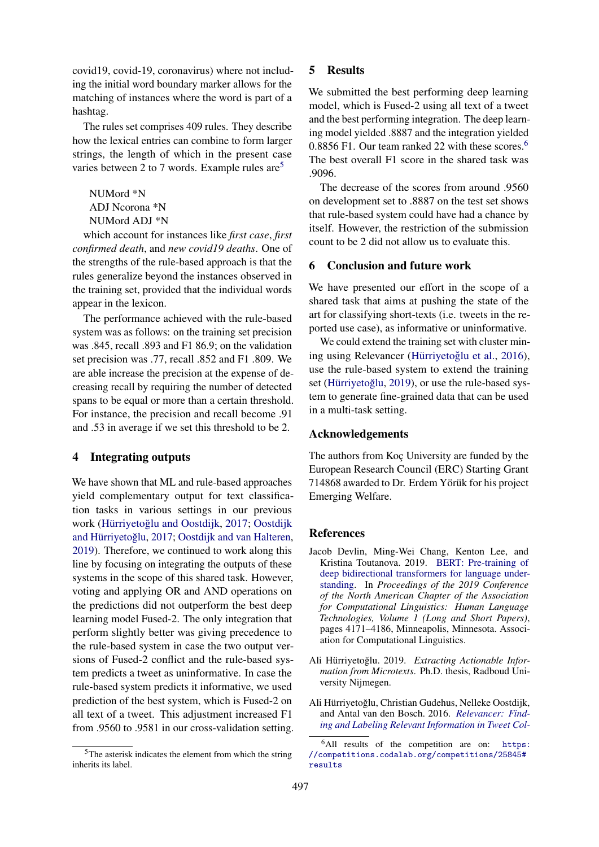covid19, covid-19, coronavirus) where not including the initial word boundary marker allows for the matching of instances where the word is part of a hashtag.

The rules set comprises 409 rules. They describe how the lexical entries can combine to form larger strings, the length of which in the present case varies between 2 to 7 words. Example rules are<sup>[5](#page-2-4)</sup>

NUMord \*N ADJ Ncorona \*N NUMord ADJ \*N

which account for instances like *first case*, *first confirmed death*, and *new covid19 deaths*. One of the strengths of the rule-based approach is that the rules generalize beyond the instances observed in the training set, provided that the individual words appear in the lexicon.

The performance achieved with the rule-based system was as follows: on the training set precision was .845, recall .893 and F1 86.9; on the validation set precision was .77, recall .852 and F1 .809. We are able increase the precision at the expense of decreasing recall by requiring the number of detected spans to be equal or more than a certain threshold. For instance, the precision and recall become .91 and .53 in average if we set this threshold to be 2.

# <span id="page-2-0"></span>4 Integrating outputs

We have shown that ML and rule-based approaches yield complementary output for text classification tasks in various settings in our previous work (Hürriyetoğlu and Oostdijk, [2017;](#page-3-3) [Oostdijk](#page-3-4) and Hürriyetoğlu, [2017;](#page-3-4) [Oostdijk and van Halteren,](#page-3-5) [2019\)](#page-3-5). Therefore, we continued to work along this line by focusing on integrating the outputs of these systems in the scope of this shared task. However, voting and applying OR and AND operations on the predictions did not outperform the best deep learning model Fused-2. The only integration that perform slightly better was giving precedence to the rule-based system in case the two output versions of Fused-2 conflict and the rule-based system predicts a tweet as uninformative. In case the rule-based system predicts it informative, we used prediction of the best system, which is Fused-2 on all text of a tweet. This adjustment increased F1 from .9560 to .9581 in our cross-validation setting.

# <span id="page-2-1"></span>5 Results

We submitted the best performing deep learning model, which is Fused-2 using all text of a tweet and the best performing integration. The deep learning model yielded .8887 and the integration yielded  $0.8856$  $0.8856$  F1. Our team ranked 22 with these scores.<sup>6</sup> The best overall F1 score in the shared task was .9096.

The decrease of the scores from around .9560 on development set to .8887 on the test set shows that rule-based system could have had a chance by itself. However, the restriction of the submission count to be 2 did not allow us to evaluate this.

## <span id="page-2-2"></span>6 Conclusion and future work

We have presented our effort in the scope of a shared task that aims at pushing the state of the art for classifying short-texts (i.e. tweets in the reported use case), as informative or uninformative.

We could extend the training set with cluster min-ing using Relevancer (Hürriyetoğlu et al., [2016\)](#page-2-6), use the rule-based system to extend the training set (Hürriyetoğlu, [2019\)](#page-2-7), or use the rule-based system to generate fine-grained data that can be used in a multi-task setting.

#### Acknowledgements

The authors from Koç University are funded by the European Research Council (ERC) Starting Grant 714868 awarded to Dr. Erdem Yörük for his project Emerging Welfare.

## References

- <span id="page-2-3"></span>Jacob Devlin, Ming-Wei Chang, Kenton Lee, and Kristina Toutanova. 2019. [BERT: Pre-training of](https://doi.org/10.18653/v1/N19-1423) [deep bidirectional transformers for language under](https://doi.org/10.18653/v1/N19-1423)[standing.](https://doi.org/10.18653/v1/N19-1423) In *Proceedings of the 2019 Conference of the North American Chapter of the Association for Computational Linguistics: Human Language Technologies, Volume 1 (Long and Short Papers)*, pages 4171–4186, Minneapolis, Minnesota. Association for Computational Linguistics.
- <span id="page-2-7"></span>Ali Hürriyetoğlu. 2019. Extracting Actionable Infor*mation from Microtexts*. Ph.D. thesis, Radboud University Nijmegen.
- <span id="page-2-6"></span>Ali Hürriyetoğlu, Christian Gudehus, Nelleke Oostdijk, and Antal van den Bosch. 2016. *[Relevancer: Find](https://doi.org/10.1007/978-3-319-47874-6_15)[ing and Labeling Relevant Information in Tweet Col-](https://doi.org/10.1007/978-3-319-47874-6_15)*

<span id="page-2-4"></span><sup>5</sup>The asterisk indicates the element from which the string inherits its label.

<span id="page-2-5"></span><sup>6</sup>[All results of the competition are on:](https://doi.org/10.1007/978-3-319-47874-6_15) [https:](https://competitions.codalab.org/competitions/25845#results) [//competitions.codalab.org/competitions/25845#](https://doi.org/10.1007/978-3-319-47874-6_15) [results](https://doi.org/10.1007/978-3-319-47874-6_15)